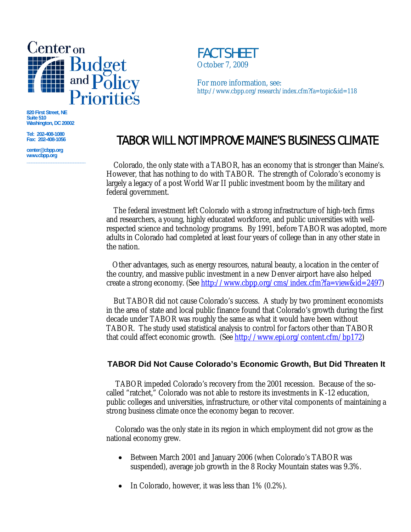

**820 First Street, NE Suite 510 Washington, DC 20002** 

**Tel: 202-408-1080 Fax: 202-408-1056** 

**center@cbpp.org www.cbpp.org \_\_\_\_\_\_\_\_\_\_\_\_\_\_\_\_\_\_\_\_\_\_\_\_** 

## FACT SHEETOctober 7, 2009

For more information, see: http://www.cbpp.org/research/index.cfm?fa=topic&id=118

# TABOR WILL NOT IMPROVE MAINE'S BUSINESS CLIMATE

 Colorado, the only state with a TABOR, has an economy that is stronger than Maine's. However, that has nothing to do with TABOR. The strength of Colorado's economy is largely a legacy of a post World War II public investment boom by the military and federal government.

 The federal investment left Colorado with a strong infrastructure of high-tech firms and researchers, a young, highly educated workforce, and public universities with wellrespected science and technology programs. By 1991, before TABOR was adopted, more adults in Colorado had completed at least four years of college than in any other state in the nation.

Other advantages, such as energy resources, natural beauty, a location in the center of the country, and massive public investment in a new Denver airport have also helped create a strong economy. (See http://www.cbpp.org/cms/index.cfm?fa=view&id=2497)

 But TABOR did not cause Colorado's success. A study by two prominent economists in the area of state and local public finance found that Colorado's growth during the first decade under TABOR was roughly the same as what it would have been without TABOR. The study used statistical analysis to control for factors other than TABOR that could affect economic growth. (See http://www.epi.org/content.cfm/bp172)

### **TABOR Did Not Cause Colorado's Economic Growth, But Did Threaten It**

TABOR impeded Colorado's recovery from the 2001 recession. Because of the socalled "ratchet," Colorado was not able to restore its investments in K-12 education, public colleges and universities, infrastructure, or other vital components of maintaining a strong business climate once the economy began to recover.

Colorado was the only state in its region in which employment did not grow as the national economy grew.

- Between March 2001 and January 2006 (when Colorado's TABOR was suspended), average job growth in the 8 Rocky Mountain states was 9.3%.
- In Colorado, however, it was less than  $1\%$  (0.2%).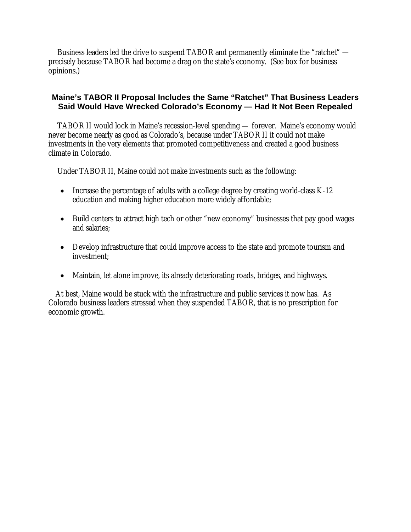Business leaders led the drive to suspend TABOR and permanently eliminate the "ratchet" precisely because TABOR had become a drag on the state's economy. (See box for business opinions.)

### **Maine's TABOR II Proposal Includes the Same "Ratchet" That Business Leaders Said Would Have Wrecked Colorado's Economy — Had It Not Been Repealed**

TABOR II would lock in Maine's recession-level spending — forever. Maine's economy would never become nearly as good as Colorado's, because under TABOR II it could not make investments in the very elements that promoted competitiveness and created a good business climate in Colorado.

Under TABOR II, Maine could not make investments such as the following:

- Increase the percentage of adults with a college degree by creating world-class  $K-12$ education and making higher education more widely affordable;
- Build centers to attract high tech or other "new economy" businesses that pay good wages and salaries;
- Develop infrastructure that could improve access to the state and promote tourism and investment;
- Maintain, let alone improve, its already deteriorating roads, bridges, and highways.

At best, Maine would be stuck with the infrastructure and public services it now has. As Colorado business leaders stressed when they suspended TABOR, that is no prescription for economic growth.